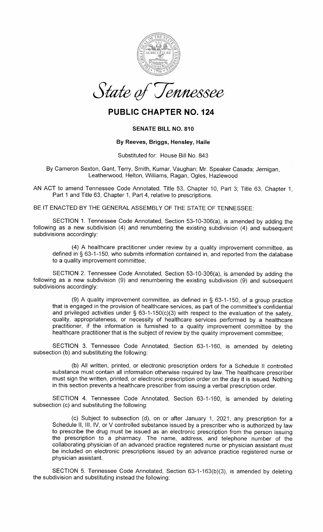

## PUBLIC CHAPTER NO. 124

## SENATE BILL NO. 810

## By Reeves, Briggs, Hensley, Haile

Substituted for: House Bill No. 843

By Cameron Sexton, Gant, Terry, Smith, Kumar, Vaughan; Mr. Speaker Casada; Jernigan,Leatheruvood, Helton, Williams, Ragan, Ogles, Hazlewood

AN ACT to amend Tennessee Code Annotated, Title 53, Chapter 10, Part 3; Title 63, Chapter 1, Part 1 and Title 63, Chapter 1, Part 4, relative to prescriptions.

BE IT ENACTED BY THE GENERAL ASSEMBLY OF THE STATE OF TENNESSEE:

SECTION 1. Tennessee Code Annotated, Section 53-10-306(a), is amended by adding the following as a new subdivision (4) and renumbering the existing subdivision (4) and subsequentsubdivisions accordingly:

(4) A healthcare practitioner under review by a quality improvement committee, as defined in \$ 63-1-150, who submits information contained in, and reported from the databaseto a quality improvement committee;

SECTION 2. Tennessee Code Annotated, Section 53-10-306(a), is amended by adding the following as a new subdivision (9) and renumbering the existing subdivision (9) and subsequentsubdivisions accordingly:

(9) A quality improvement committee, as defined in  $\S$  63-1-150, of a group practice that is engaged in the provision of healthcare services, as part of the committee's confidentialand privileged activities under § 63-1-150(c)(3) with respect to the evaluation of the safety quality, appropriateness, or necessity of healthcare services performed by a healthcare practitioner, if the information is furnished to a quality improvement committee by thehealthcare practitioner that is the subject of review by the quality improvement committee;

SECTION 3. Tennessee Code Annotated, Section 63-1-160, is amended by deletingsubsection (b) and substituting the following:

(b) All written, printed, or electronic prescription orders for a Schedule ll controlledsubstance must contain all information otherwise required by law. The healthcare prescriber must sign the written, printed, or electronic prescription order on the day it is issued. Nothingin this section prevents a healthcare prescriber from issuing a verbal prescription order.

SECTION 4. Tennessee Code Annotated, Section 63-1-160, is amended by deletingsubsection (c) and substituting the following:

(c) Subject to subsection (d), on or after January 1,2Q21, any prescription for a Schedule ll, lll, lV, or V controlled substance issued by a prescriber who is authorized by law to prescribe the drug must be issued as an electronic prescription from the person issuing the prescription to a pharmacy. The name, address, and telephone number of the collaborating physician of an advanced practice registered nurse or physician assistant must be included on electronic prescriptions issued by an advance practice registered nurse orphysician assistant.

SECTION 5. Tennessee Code Annotated, Section 63-1-163(b)(3), is amended by deletingthe subdivision and substituting instead the following: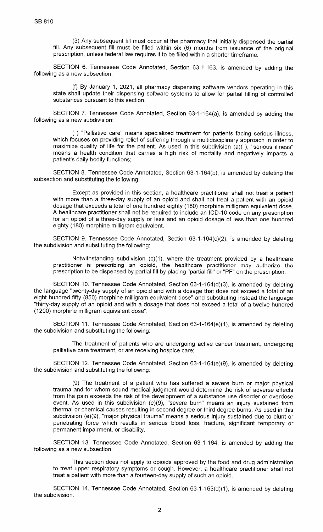(3) Any subsequent fill must occur at the pharmacy that initially dispensed the partial fill. Any subsequent fill must be filled within six (6) months from issuance of the originalprescription, unless federal law requires it to be filled within a shorter timeframe.

SECTION 6. Tennessee Code Annotated, Section 63-1-163, is amended by adding thefollowing as a new subsection:

 $(f)$  By January 1, 2021, all pharmacy dispensing software vendors operating in this state shall update their dispensing software systems to allow for partial filling of controllec substances pursuant to this section.

SECTION 7. Tennessee Code Annotated, Section 63-1-164(a), is amended by adding thefollowing as a new subdivision:

( ) "Palliative care" means specialized treatment for patients facing serious illness, which focuses on providing relief of suffering through a multidisciplinary approach in order tomaximize quality of life for the patient. As used in this subdivision (a)( ), "serious illness' means a health condition that carries a high risk of mortality and negatively impacts apatient's daily bodily functions;

SECTION 8. Tennessee Code Annotated, Section 63-1-164(b), is amended by deleting thesubsection and substituting the following:

Except as provided in this section, a healthcare practitioner shall not treat a patientwith more than a three-day supply of an opioid and shall not treat a patient with an opioic dosage that exceeds a total of one hundred eighty (180) morphine milligram equivalent dose. A healthcare practitioner shall not be required to include an ICD-10 code on any prescription for an opioid of a three-day supply or less and an opioid dosage of less than one hundredeighty (180) morphine milligram equivalent.

SECTION 9. Tennessee Code Annotated, Section 63-1-164(c)(2), is amended by deletingthe subdivision and substituting the following:

Notwithstanding subdivision  $(c)(1)$ , where the treatment provided by a healthcare practitioner is prescribing an opioid, the healthcare practitioner may authorize theprescription to be dispensed by partial fill by placing "partial fill" or "PF" on the prescription.

SECTION 10. Tennessee Code Annotated, Section 63-1-164(d)(3), is amended by deleting the language "twenty-day supply of an opioid and with a dosage that does not exceed a total of an eight hundred fifty (850) morphine milligram equivalent dose" and substituting instead the language "thirty-day supply of an opioid and with a dosage that does not exceed a total of a twelve hundred(1200) morphine milligram equivalent dose".

SECTION 11. Tennessee Code Annotated, Section 63-1-164(e)(1), is amended by deletingthe subdivision and substituting the following:

The treatment of patients who are undergoing active cancer treatment, undergoingpalliative care treatment, or are receiving hospice care;

SECTION 12. Tennessee Code Annotated, Section 63-1-164(e)(9), is amended by deletingthe subdivision and substituting the following:

(9) The treatment of a patient who has suffered a severe burn or major physical trauma and for whom sound medical judgment would determine the risk of adverse effects from the pain exceeds the risk of the development of a substance use disorder or overdoseevent. As used in this subdivision (e)(9), "severe burn" means an injury sustained from thermal or chemical causes resulting in second degree or third degree burns. As used in thissubdivision (e)(9), "major physical trauma" means a serious injury sustained due to blunt or penetrating force which results in serious blood loss, fracture, significant temporary orpermanent impairment, or disability.

SECTION 13. Tennessee Code Annotated, Section 63-1-164, is amended by adding thefollowing as a new subsection:

This section does not apply to opioids approved by the food and drug administration to treat upper respiratory symptoms or cough. However, a healthcare practitioner shall nottreat a patient with more than a fourteen-day supply of such an opioid.

SECTION 14. Tennessee Code Annotated, Section 63-1-163(d)(1), is amended by deletingthe subdivision.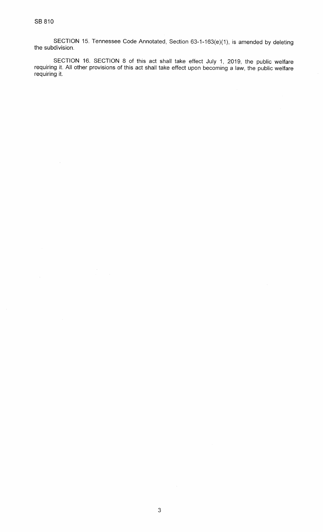$\bar{\beta}$ 

sEcrloN 15. Tennessee code Annotated, section 63-1-163(e)(1), is amended by deleting the subdivision.

SECTION 16. SECTION 8 of this act shall take effect July 1, 2019, the public welfare<br>requiring it. All other provisions of this act shall take effect upon becoming a law, the public welfare requiring it.